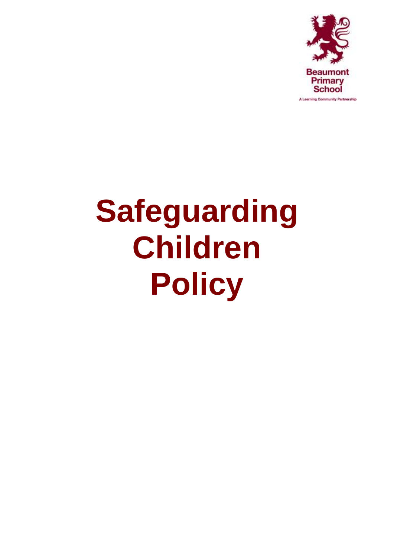

# **Safeguarding Children Policy**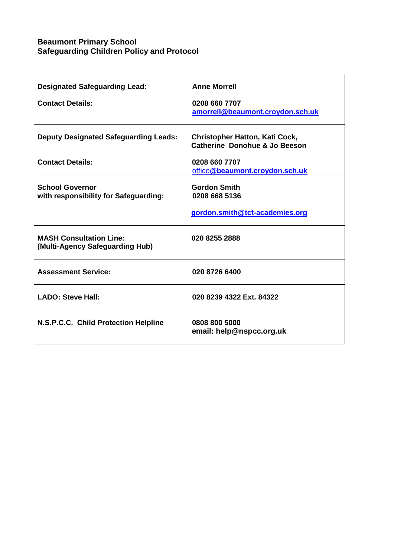# **Beaumont Primary School Safeguarding Children Policy and Protocol**

| <b>Designated Safeguarding Lead:</b><br><b>Contact Details:</b>   | <b>Anne Morrell</b><br>0208 660 7707<br>amorrell@beaumont.croydon.sch.uk |
|-------------------------------------------------------------------|--------------------------------------------------------------------------|
| <b>Deputy Designated Safeguarding Leads:</b>                      | <b>Christopher Hatton, Kati Cock,</b><br>Catherine Donohue & Jo Beeson   |
| <b>Contact Details:</b>                                           | 0208 660 7707<br>office@beaumont.croydon.sch.uk                          |
| <b>School Governor</b><br>with responsibility for Safeguarding:   | <b>Gordon Smith</b><br>0208 668 5136<br>gordon.smith@tct-academies.org   |
| <b>MASH Consultation Line:</b><br>(Multi-Agency Safeguarding Hub) | 020 8255 2888                                                            |
| <b>Assessment Service:</b>                                        | 020 8726 6400                                                            |
| <b>LADO: Steve Hall:</b>                                          | 020 8239 4322 Ext. 84322                                                 |
| N.S.P.C.C. Child Protection Helpline                              | 0808 800 5000<br>email: help@nspcc.org.uk                                |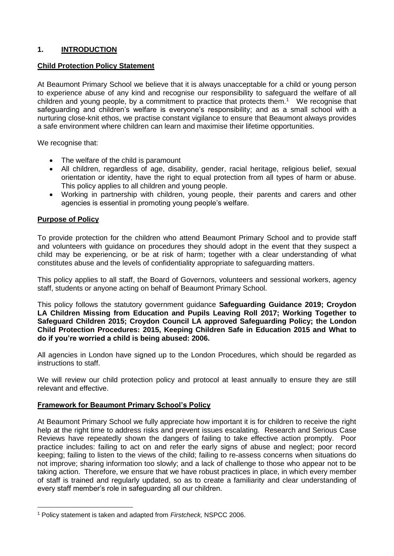# **1. INTRODUCTION**

#### **Child Protection Policy Statement**

At Beaumont Primary School we believe that it is always unacceptable for a child or young person to experience abuse of any kind and recognise our responsibility to safeguard the welfare of all children and young people, by a commitment to practice that protects them. $1$  We recognise that safeguarding and children's welfare is everyone's responsibility; and as a small school with a nurturing close-knit ethos, we practise constant vigilance to ensure that Beaumont always provides a safe environment where children can learn and maximise their lifetime opportunities.

We recognise that:

- The welfare of the child is paramount
- All children, regardless of age, disability, gender, racial heritage, religious belief, sexual orientation or identity, have the right to equal protection from all types of harm or abuse. This policy applies to all children and young people.
- Working in partnership with children, young people, their parents and carers and other agencies is essential in promoting young people's welfare.

#### **Purpose of Policy**

1

To provide protection for the children who attend Beaumont Primary School and to provide staff and volunteers with guidance on procedures they should adopt in the event that they suspect a child may be experiencing, or be at risk of harm; together with a clear understanding of what constitutes abuse and the levels of confidentiality appropriate to safeguarding matters.

This policy applies to all staff, the Board of Governors, volunteers and sessional workers, agency staff, students or anyone acting on behalf of Beaumont Primary School.

This policy follows the statutory government guidance **Safeguarding Guidance 2019; Croydon LA Children Missing from Education and Pupils Leaving Roll 2017; Working Together to Safeguard Children 2015; Croydon Council LA approved Safeguarding Policy; the London Child Protection Procedures: 2015, Keeping Children Safe in Education 2015 and What to do if you're worried a child is being abused: 2006.** 

All agencies in London have signed up to the London Procedures, which should be regarded as instructions to staff.

We will review our child protection policy and protocol at least annually to ensure they are still relevant and effective.

#### **Framework for Beaumont Primary School's Policy**

At Beaumont Primary School we fully appreciate how important it is for children to receive the right help at the right time to address risks and prevent issues escalating. Research and Serious Case Reviews have repeatedly shown the dangers of failing to take effective action promptly. Poor practice includes: failing to act on and refer the early signs of abuse and neglect; poor record keeping; failing to listen to the views of the child; failing to re-assess concerns when situations do not improve; sharing information too slowly; and a lack of challenge to those who appear not to be taking action. Therefore, we ensure that we have robust practices in place, in which every member of staff is trained and regularly updated, so as to create a familiarity and clear understanding of every staff member's role in safeguarding all our children.

<sup>1</sup> Policy statement is taken and adapted from *Firstcheck,* NSPCC 2006.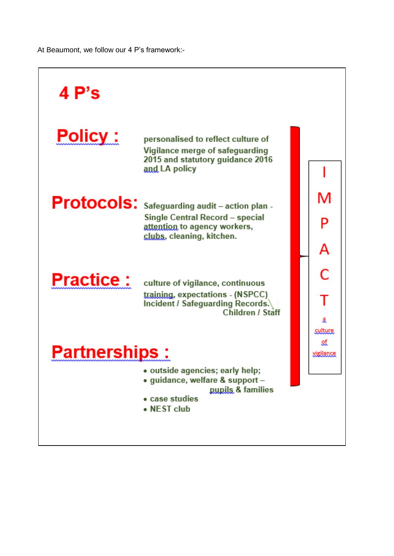At Beaumont, we follow our 4 P's framework:-

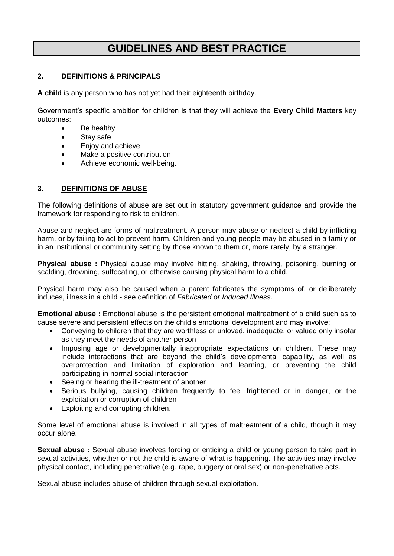# **GUIDELINES AND BEST PRACTICE**

#### **2. DEFINITIONS & PRINCIPALS**

**A child** is any person who has not yet had their eighteenth birthday.

Government's specific ambition for children is that they will achieve the **Every Child Matters** key outcomes:

- Be healthy
- Stay safe
- Enjoy and achieve
- Make a positive contribution
- Achieve economic well-being.

#### **3. DEFINITIONS OF ABUSE**

The following definitions of abuse are set out in statutory government guidance and provide the framework for responding to risk to children.

Abuse and neglect are forms of maltreatment. A person may abuse or neglect a child by inflicting harm, or by failing to act to prevent harm. Children and young people may be abused in a family or in an institutional or community setting by those known to them or, more rarely, by a stranger.

**Physical abuse :** Physical abuse may involve hitting, shaking, throwing, poisoning, burning or scalding, drowning, suffocating, or otherwise causing physical harm to a child.

Physical harm may also be caused when a parent fabricates the symptoms of, or deliberately induces, illness in a child - see definition of *Fabricated or Induced Illness*.

**Emotional abuse** : Emotional abuse is the persistent emotional maltreatment of a child such as to cause severe and persistent effects on the child's emotional development and may involve:

- Conveying to children that they are worthless or unloved, inadequate, or valued only insofar as they meet the needs of another person
- Imposing age or developmentally inappropriate expectations on children. These may include interactions that are beyond the child's developmental capability, as well as overprotection and limitation of exploration and learning, or preventing the child participating in normal social interaction
- Seeing or hearing the ill-treatment of another
- Serious bullying, causing children frequently to feel frightened or in danger, or the exploitation or corruption of children
- Exploiting and corrupting children.

Some level of emotional abuse is involved in all types of maltreatment of a child, though it may occur alone.

**Sexual abuse :** Sexual abuse involves forcing or enticing a child or young person to take part in sexual activities, whether or not the child is aware of what is happening. The activities may involve physical contact, including penetrative (e.g. rape, buggery or oral sex) or non-penetrative acts.

Sexual abuse includes abuse of children through sexual exploitation.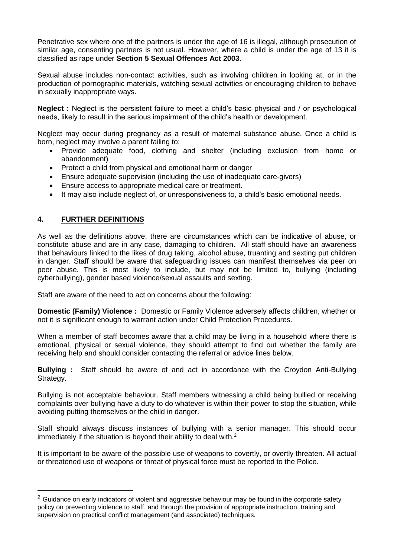Penetrative sex where one of the partners is under the age of 16 is illegal, although prosecution of similar age, consenting partners is not usual. However, where a child is under the age of 13 it is classified as rape under **Section 5 Sexual Offences Act 2003**.

Sexual abuse includes non-contact activities, such as involving children in looking at, or in the production of pornographic materials, watching sexual activities or encouraging children to behave in sexually inappropriate ways.

**Neglect :** Neglect is the persistent failure to meet a child's basic physical and / or psychological needs, likely to result in the serious impairment of the child's health or development.

Neglect may occur during pregnancy as a result of maternal substance abuse. Once a child is born, neglect may involve a parent failing to:

- Provide adequate food, clothing and shelter (including exclusion from home or abandonment)
- Protect a child from physical and emotional harm or danger
- Ensure adequate supervision (including the use of inadequate care-givers)
- Ensure access to appropriate medical care or treatment.
- It may also include neglect of, or unresponsiveness to, a child's basic emotional needs.

#### **4. FURTHER DEFINITIONS**

1

As well as the definitions above, there are circumstances which can be indicative of abuse, or constitute abuse and are in any case, damaging to children. All staff should have an awareness that behaviours linked to the likes of drug taking, alcohol abuse, truanting and sexting put children in danger. Staff should be aware that safeguarding issues can manifest themselves via peer on peer abuse. This is most likely to include, but may not be limited to, bullying (including cyberbullying), gender based violence/sexual assaults and sexting.

Staff are aware of the need to act on concerns about the following:

**Domestic (Family) Violence :** Domestic or Family Violence adversely affects children, whether or not it is significant enough to warrant action under Child Protection Procedures.

When a member of staff becomes aware that a child may be living in a household where there is emotional, physical or sexual violence, they should attempt to find out whether the family are receiving help and should consider contacting the referral or advice lines below.

**Bullying :** Staff should be aware of and act in accordance with the Croydon Anti-Bullying Strategy.

Bullying is not acceptable behaviour. Staff members witnessing a child being bullied or receiving complaints over bullying have a duty to do whatever is within their power to stop the situation, while avoiding putting themselves or the child in danger.

Staff should always discuss instances of bullying with a senior manager. This should occur immediately if the situation is beyond their ability to deal with.<sup>2</sup>

It is important to be aware of the possible use of weapons to covertly, or overtly threaten. All actual or threatened use of weapons or threat of physical force must be reported to the Police.

 $2$  Guidance on early indicators of violent and aggressive behaviour may be found in the corporate safety policy on preventing violence to staff, and through the provision of appropriate instruction, training and supervision on practical conflict management (and associated) techniques.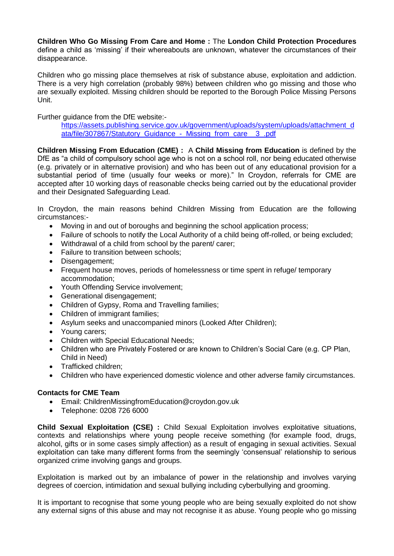**Children Who Go Missing From Care and Home :** The **London Child Protection Procedures** define a child as 'missing' if their whereabouts are unknown, whatever the circumstances of their disappearance.

Children who go missing place themselves at risk of substance abuse, exploitation and addiction. There is a very high correlation (probably 98%) between children who go missing and those who are sexually exploited. Missing children should be reported to the Borough Police Missing Persons Unit.

Further guidance from the DfE website:-

[https://assets.publishing.service.gov.uk/government/uploads/system/uploads/attachment\\_d](https://assets.publishing.service.gov.uk/government/uploads/system/uploads/attachment_data/file/307867/Statutory_Guidance_-_Missing_from_care__3_.pdf) [ata/file/307867/Statutory\\_Guidance\\_-\\_Missing\\_from\\_care\\_\\_3\\_.pdf](https://assets.publishing.service.gov.uk/government/uploads/system/uploads/attachment_data/file/307867/Statutory_Guidance_-_Missing_from_care__3_.pdf)

**Children Missing From Education (CME) :** A **Child Missing from Education** is defined by the DfE as "a child of compulsory school age who is not on a school roll, nor being educated otherwise (e.g. privately or in alternative provision) and who has been out of any educational provision for a substantial period of time (usually four weeks or more)." In Croydon, referrals for CME are accepted after 10 working days of reasonable checks being carried out by the educational provider and their Designated Safeguarding Lead.

In Croydon, the main reasons behind Children Missing from Education are the following circumstances:-

- Moving in and out of boroughs and beginning the school application process;
- Failure of schools to notify the Local Authority of a child being off-rolled, or being excluded;
- Withdrawal of a child from school by the parent/ carer;
- Failure to transition between schools:
- Disengagement;
- Frequent house moves, periods of homelessness or time spent in refuge/ temporary accommodation;
- Youth Offending Service involvement:
- Generational disengagement;
- Children of Gypsy, Roma and Travelling families;
- Children of immigrant families;
- Asylum seeks and unaccompanied minors (Looked After Children);
- Young carers:
- Children with Special Educational Needs;
- Children who are Privately Fostered or are known to Children's Social Care (e.g. CP Plan, Child in Need)
- Trafficked children:
- Children who have experienced domestic violence and other adverse family circumstances.

#### **Contacts for CME Team**

- Email: ChildrenMissingfromEducation@croydon.gov.uk
- Telephone: 0208 726 6000

**Child Sexual Exploitation (CSE) :** Child Sexual Exploitation involves exploitative situations, contexts and relationships where young people receive something (for example food, drugs, alcohol, gifts or in some cases simply affection) as a result of engaging in sexual activities. Sexual exploitation can take many different forms from the seemingly 'consensual' relationship to serious organized crime involving gangs and groups.

Exploitation is marked out by an imbalance of power in the relationship and involves varying degrees of coercion, intimidation and sexual bullying including cyberbullying and grooming.

It is important to recognise that some young people who are being sexually exploited do not show any external signs of this abuse and may not recognise it as abuse. Young people who go missing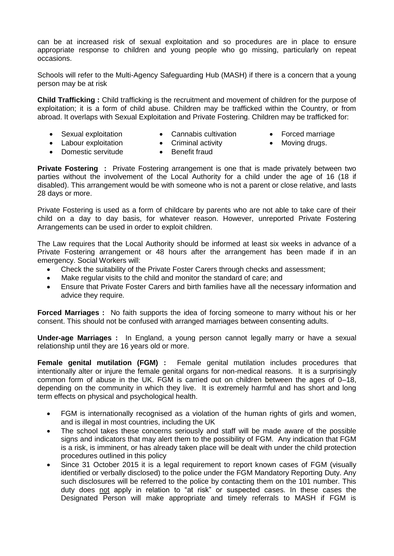can be at increased risk of sexual exploitation and so procedures are in place to ensure appropriate response to children and young people who go missing, particularly on repeat occasions.

Schools will refer to the Multi-Agency Safeguarding Hub (MASH) if there is a concern that a young person may be at risk

**Child Trafficking :** Child trafficking is the recruitment and movement of children for the purpose of exploitation; it is a form of child abuse. Children may be trafficked within the Country, or from abroad. It overlaps with Sexual Exploitation and Private Fostering. Children may be trafficked for:

- Sexual exploitation
- Cannabis cultivation
- Forced marriage
- Moving drugs.
- Labour exploitation • Domestic servitude
- Criminal activity • Benefit fraud

**Private Fostering :** Private Fostering arrangement is one that is made privately between two parties without the involvement of the Local Authority for a child under the age of 16 (18 if disabled). This arrangement would be with someone who is not a parent or close relative, and lasts 28 days or more.

Private Fostering is used as a form of childcare by parents who are not able to take care of their child on a day to day basis, for whatever reason. However, unreported Private Fostering Arrangements can be used in order to exploit children.

The Law requires that the Local Authority should be informed at least six weeks in advance of a Private Fostering arrangement or 48 hours after the arrangement has been made if in an emergency. Social Workers will:

- Check the suitability of the Private Foster Carers through checks and assessment;
- Make regular visits to the child and monitor the standard of care; and
- Ensure that Private Foster Carers and birth families have all the necessary information and advice they require.

**Forced Marriages :** No faith supports the idea of forcing someone to marry without his or her consent. This should not be confused with arranged marriages between consenting adults.

**Under-age Marriages :** In England, a young person cannot legally marry or have a sexual relationship until they are 16 years old or more.

**Female genital mutilation (FGM) :** Female genital mutilation includes procedures that intentionally alter or injure the female genital organs for non-medical reasons. It is a surprisingly common form of abuse in the UK. FGM is carried out on children between the ages of 0–18, depending on the community in which they live. It is extremely harmful and has short and long term effects on physical and psychological health.

- FGM is internationally recognised as a violation of the human rights of girls and women, and is illegal in most countries, including the UK
- The school takes these concerns seriously and staff will be made aware of the possible signs and indicators that may alert them to the possibility of FGM. Any indication that FGM is a risk, is imminent, or has already taken place will be dealt with under the child protection procedures outlined in this policy
- Since 31 October 2015 it is a legal requirement to report known cases of FGM (visually identified or verbally disclosed) to the police under the FGM Mandatory Reporting Duty. Any such disclosures will be referred to the police by contacting them on the 101 number. This duty does not apply in relation to "at risk" or suspected cases. In these cases the Designated Person will make appropriate and timely referrals to MASH if FGM is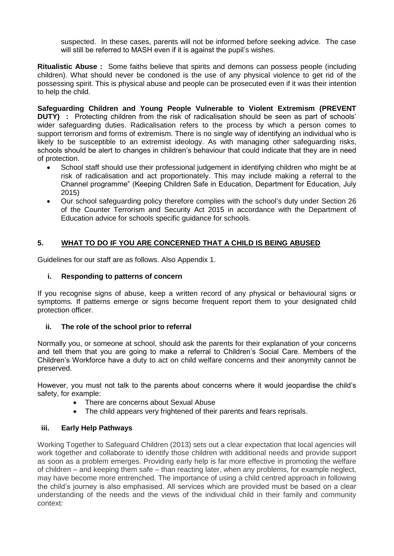suspected. In these cases, parents will not be informed before seeking advice. The case will still be referred to MASH even if it is against the pupil's wishes.

**Ritualistic Abuse :** Some faiths believe that spirits and demons can possess people (including children). What should never be condoned is the use of any physical violence to get rid of the possessing spirit. This is physical abuse and people can be prosecuted even if it was their intention to help the child.

**Safeguarding Children and Young People Vulnerable to Violent Extremism (PREVENT DUTY)** : Protecting children from the risk of radicalisation should be seen as part of schools' wider safeguarding duties. Radicalisation refers to the process by which a person comes to support terrorism and forms of extremism. There is no single way of identifying an individual who is likely to be susceptible to an extremist ideology. As with managing other safeguarding risks, schools should be alert to changes in children's behaviour that could indicate that they are in need of protection.

- School staff should use their professional judgement in identifying children who might be at risk of radicalisation and act proportionately. This may include making a referral to the Channel programme" (Keeping Children Safe in Education, Department for Education, July 2015)
- Our school safeguarding policy therefore complies with the school's duty under Section 26 of the Counter Terrorism and Security Act 2015 in accordance with the Department of Education advice for schools specific guidance for schools.

# **5. WHAT TO DO IF YOU ARE CONCERNED THAT A CHILD IS BEING ABUSED**

Guidelines for our staff are as follows. Also Appendix 1.

#### **i. Responding to patterns of concern**

If you recognise signs of abuse, keep a written record of any physical or behavioural signs or symptoms. If patterns emerge or signs become frequent report them to your designated child protection officer.

#### **ii. The role of the school prior to referral**

Normally you, or someone at school, should ask the parents for their explanation of your concerns and tell them that you are going to make a referral to Children's Social Care. Members of the Children's Workforce have a duty to act on child welfare concerns and their anonymity cannot be preserved.

However, you must not talk to the parents about concerns where it would jeopardise the child's safety, for example:

- There are concerns about Sexual Abuse
- The child appears very frightened of their parents and fears reprisals.

#### **iii. Early Help Pathways**

Working Together to Safeguard Children (2013) sets out a clear expectation that local agencies will work together and collaborate to identify those children with additional needs and provide support as soon as a problem emerges. Providing early help is far more effective in promoting the welfare of children – and keeping them safe – than reacting later, when any problems, for example neglect, may have become more entrenched. The importance of using a child centred approach in following the child's journey is also emphasised. All services which are provided must be based on a clear understanding of the needs and the views of the individual child in their family and community context: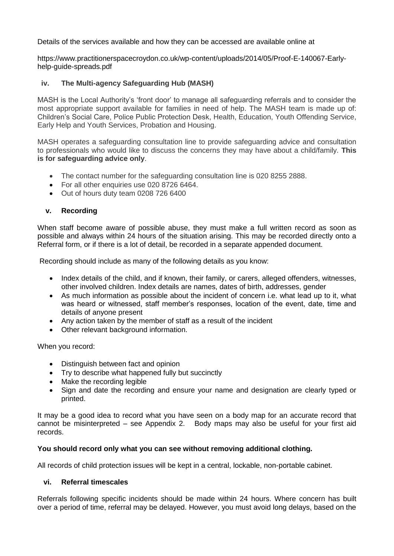Details of the services available and how they can be accessed are available online at

https://www.practitionerspacecroydon.co.uk/wp-content/uploads/2014/05/Proof-E-140067-Earlyhelp-guide-spreads.pdf

## **iv. The Multi-agency Safeguarding Hub (MASH)**

MASH is the Local Authority's 'front door' to manage all safeguarding referrals and to consider the most appropriate support available for families in need of help. The MASH team is made up of: Children's Social Care, Police Public Protection Desk, Health, Education, Youth Offending Service, Early Help and Youth Services, Probation and Housing.

MASH operates a safeguarding consultation line to provide safeguarding advice and consultation to professionals who would like to discuss the concerns they may have about a child/family. **This is for safeguarding advice only**.

- The contact number for the safeguarding consultation line is 020 8255 2888.
- For all other enquiries use 020 8726 6464.
- Out of hours duty team 0208 726 6400

#### **v. Recording**

When staff become aware of possible abuse, they must make a full written record as soon as possible and always within 24 hours of the situation arising. This may be recorded directly onto a Referral form, or if there is a lot of detail, be recorded in a separate appended document.

Recording should include as many of the following details as you know:

- Index details of the child, and if known, their family, or carers, alleged offenders, witnesses, other involved children. Index details are names, dates of birth, addresses, gender
- As much information as possible about the incident of concern i.e. what lead up to it, what was heard or witnessed, staff member's responses, location of the event, date, time and details of anyone present
- Any action taken by the member of staff as a result of the incident
- Other relevant background information.

When you record:

- Distinguish between fact and opinion
- Try to describe what happened fully but succinctly
- Make the recording legible
- Sign and date the recording and ensure your name and designation are clearly typed or printed.

It may be a good idea to record what you have seen on a body map for an accurate record that cannot be misinterpreted – see Appendix 2. Body maps may also be useful for your first aid records.

#### **You should record only what you can see without removing additional clothing.**

All records of child protection issues will be kept in a central, lockable, non-portable cabinet.

#### **vi. Referral timescales**

Referrals following specific incidents should be made within 24 hours. Where concern has built over a period of time, referral may be delayed. However, you must avoid long delays, based on the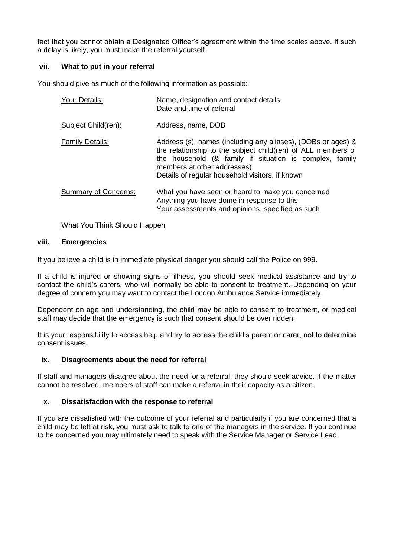fact that you cannot obtain a Designated Officer's agreement within the time scales above. If such a delay is likely, you must make the referral yourself.

#### **vii. What to put in your referral**

You should give as much of the following information as possible:

| Your Details:               | Name, designation and contact details<br>Date and time of referral                                                                                                                                                                                                        |  |
|-----------------------------|---------------------------------------------------------------------------------------------------------------------------------------------------------------------------------------------------------------------------------------------------------------------------|--|
| Subject Child(ren):         | Address, name, DOB                                                                                                                                                                                                                                                        |  |
| <b>Family Details:</b>      | Address (s), names (including any aliases), (DOBs or ages) &<br>the relationship to the subject child(ren) of ALL members of<br>the household (& family if situation is complex, family<br>members at other addresses)<br>Details of regular household visitors, if known |  |
| <b>Summary of Concerns:</b> | What you have seen or heard to make you concerned<br>Anything you have dome in response to this<br>Your assessments and opinions, specified as such                                                                                                                       |  |

#### What You Think Should Happen

#### **viii. Emergencies**

If you believe a child is in immediate physical danger you should call the Police on 999.

If a child is injured or showing signs of illness, you should seek medical assistance and try to contact the child's carers, who will normally be able to consent to treatment. Depending on your degree of concern you may want to contact the London Ambulance Service immediately.

Dependent on age and understanding, the child may be able to consent to treatment, or medical staff may decide that the emergency is such that consent should be over ridden.

It is your responsibility to access help and try to access the child's parent or carer, not to determine consent issues.

#### **ix. Disagreements about the need for referral**

If staff and managers disagree about the need for a referral, they should seek advice. If the matter cannot be resolved, members of staff can make a referral in their capacity as a citizen.

#### **x. Dissatisfaction with the response to referral**

If you are dissatisfied with the outcome of your referral and particularly if you are concerned that a child may be left at risk, you must ask to talk to one of the managers in the service. If you continue to be concerned you may ultimately need to speak with the Service Manager or Service Lead.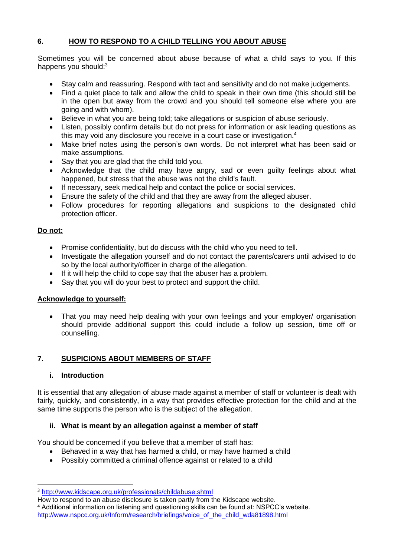# **6. HOW TO RESPOND TO A CHILD TELLING YOU ABOUT ABUSE**

Sometimes you will be concerned about abuse because of what a child says to you. If this happens you should:<sup>3</sup>

- Stay calm and reassuring. Respond with tact and sensitivity and do not make judgements.
- Find a quiet place to talk and allow the child to speak in their own time (this should still be in the open but away from the crowd and you should tell someone else where you are going and with whom).
- Believe in what you are being told; take allegations or suspicion of abuse seriously.
- Listen, possibly confirm details but do not press for information or ask leading questions as this may void any disclosure you receive in a court case or investigation.<sup>4</sup>
- Make brief notes using the person's own words. Do not interpret what has been said or make assumptions.
- Say that you are glad that the child told you.
- Acknowledge that the child may have angry, sad or even guilty feelings about what happened, but stress that the abuse was not the child's fault.
- If necessary, seek medical help and contact the police or social services.
- Ensure the safety of the child and that they are away from the alleged abuser.
- Follow procedures for reporting allegations and suspicions to the designated child protection officer.

#### **Do not:**

- Promise confidentiality, but do discuss with the child who you need to tell.
- Investigate the allegation yourself and do not contact the parents/carers until advised to do so by the local authority/officer in charge of the allegation.
- If it will help the child to cope say that the abuser has a problem.
- Say that you will do your best to protect and support the child.

#### **Acknowledge to yourself:**

• That you may need help dealing with your own feelings and your employer/ organisation should provide additional support this could include a follow up session, time off or counselling.

# **7. SUSPICIONS ABOUT MEMBERS OF STAFF**

#### **i. Introduction**

1

It is essential that any allegation of abuse made against a member of staff or volunteer is dealt with fairly, quickly, and consistently, in a way that provides effective protection for the child and at the same time supports the person who is the subject of the allegation.

#### **ii. What is meant by an allegation against a member of staff**

You should be concerned if you believe that a member of staff has:

- Behaved in a way that has harmed a child, or may have harmed a child
- Possibly committed a criminal offence against or related to a child

<sup>3</sup> <http://www.kidscape.org.uk/professionals/childabuse.shtml>

How to respond to an abuse disclosure is taken partly from the Kidscape website.

<sup>4</sup> Additional information on listening and questioning skills can be found at: NSPCC's website. [http://www.nspcc.org.uk/Inform/research/briefings/voice\\_of\\_the\\_child\\_wda81898.html](http://www.nspcc.org.uk/Inform/research/briefings/voice_of_the_child_wda81898.html)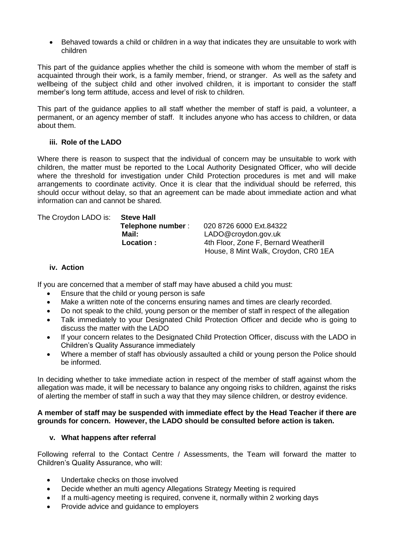Behaved towards a child or children in a way that indicates they are unsuitable to work with children

This part of the guidance applies whether the child is someone with whom the member of staff is acquainted through their work, is a family member, friend, or stranger. As well as the safety and wellbeing of the subject child and other involved children, it is important to consider the staff member's long term attitude, access and level of risk to children.

This part of the guidance applies to all staff whether the member of staff is paid, a volunteer, a permanent, or an agency member of staff. It includes anyone who has access to children, or data about them.

#### **iii. Role of the LADO**

Where there is reason to suspect that the individual of concern may be unsuitable to work with children, the matter must be reported to the Local Authority Designated Officer, who will decide where the threshold for investigation under Child Protection procedures is met and will make arrangements to coordinate activity. Once it is clear that the individual should be referred, this should occur without delay, so that an agreement can be made about immediate action and what information can and cannot be shared.

| The Croydon LADO is: | <b>Steve Hall</b> |                                       |
|----------------------|-------------------|---------------------------------------|
|                      | Telephone number: | 020 8726 6000 Ext.84322               |
|                      | Mail:             | LADO@croydon.gov.uk                   |
|                      | Location :        | 4th Floor, Zone F, Bernard Weatherill |
|                      |                   | House, 8 Mint Walk, Croydon, CR0 1EA  |

# **iv. Action**

If you are concerned that a member of staff may have abused a child you must:

- Ensure that the child or young person is safe
- Make a written note of the concerns ensuring names and times are clearly recorded.
- Do not speak to the child, young person or the member of staff in respect of the allegation
- Talk immediately to your Designated Child Protection Officer and decide who is going to discuss the matter with the LADO
- If your concern relates to the Designated Child Protection Officer, discuss with the LADO in Children's Quality Assurance immediately
- Where a member of staff has obviously assaulted a child or young person the Police should be informed.

In deciding whether to take immediate action in respect of the member of staff against whom the allegation was made, it will be necessary to balance any ongoing risks to children, against the risks of alerting the member of staff in such a way that they may silence children, or destroy evidence.

#### **A member of staff may be suspended with immediate effect by the Head Teacher if there are grounds for concern. However, the LADO should be consulted before action is taken.**

# **v. What happens after referral**

Following referral to the Contact Centre / Assessments, the Team will forward the matter to Children's Quality Assurance, who will:

- Undertake checks on those involved
- Decide whether an multi agency Allegations Strategy Meeting is required
- If a multi-agency meeting is required, convene it, normally within 2 working days
- Provide advice and guidance to employers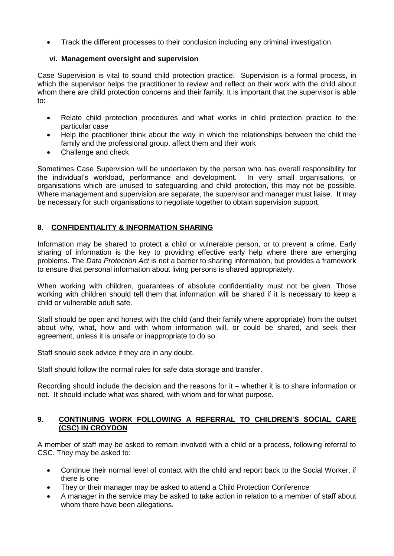Track the different processes to their conclusion including any criminal investigation.

#### **vi. Management oversight and supervision**

Case Supervision is vital to sound child protection practice. Supervision is a formal process, in which the supervisor helps the practitioner to review and reflect on their work with the child about whom there are child protection concerns and their family. It is important that the supervisor is able to:

- Relate child protection procedures and what works in child protection practice to the particular case
- Help the practitioner think about the way in which the relationships between the child the family and the professional group, affect them and their work
- Challenge and check

Sometimes Case Supervision will be undertaken by the person who has overall responsibility for the individual's workload, performance and development. In very small organisations, or organisations which are unused to safeguarding and child protection, this may not be possible. Where management and supervision are separate, the supervisor and manager must liaise. It may be necessary for such organisations to negotiate together to obtain supervision support.

# **8. CONFIDENTIALITY & INFORMATION SHARING**

Information may be shared to protect a child or vulnerable person, or to prevent a crime. Early sharing of information is the key to providing effective early help where there are emerging problems. The *Data Protection Act* is not a barrier to sharing information, but provides a framework to ensure that personal information about living persons is shared appropriately.

When working with children, guarantees of absolute confidentiality must not be given. Those working with children should tell them that information will be shared if it is necessary to keep a child or vulnerable adult safe.

Staff should be open and honest with the child (and their family where appropriate) from the outset about why, what, how and with whom information will, or could be shared, and seek their agreement, unless it is unsafe or inappropriate to do so.

Staff should seek advice if they are in any doubt.

Staff should follow the normal rules for safe data storage and transfer.

Recording should include the decision and the reasons for it – whether it is to share information or not. It should include what was shared, with whom and for what purpose.

#### **9. CONTINUING WORK FOLLOWING A REFERRAL TO CHILDREN'S SOCIAL CARE (CSC) IN CROYDON**

A member of staff may be asked to remain involved with a child or a process, following referral to CSC. They may be asked to:

- Continue their normal level of contact with the child and report back to the Social Worker, if there is one
- They or their manager may be asked to attend a Child Protection Conference
- A manager in the service may be asked to take action in relation to a member of staff about whom there have been allegations.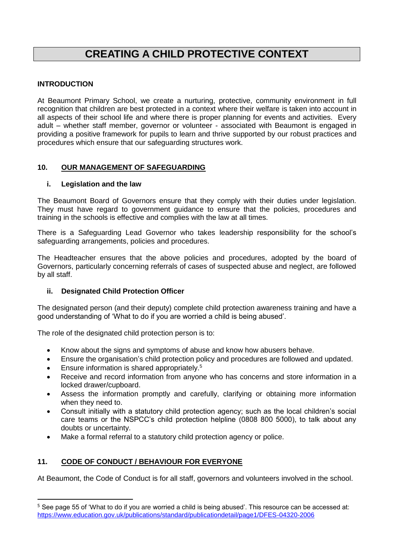# **CREATING A CHILD PROTECTIVE CONTEXT**

# **INTRODUCTION**

1

At Beaumont Primary School, we create a nurturing, protective, community environment in full recognition that children are best protected in a context where their welfare is taken into account in all aspects of their school life and where there is proper planning for events and activities. Every adult – whether staff member, governor or volunteer - associated with Beaumont is engaged in providing a positive framework for pupils to learn and thrive supported by our robust practices and procedures which ensure that our safeguarding structures work.

# **10. OUR MANAGEMENT OF SAFEGUARDING**

# **i. Legislation and the law**

The Beaumont Board of Governors ensure that they comply with their duties under legislation. They must have regard to government guidance to ensure that the policies, procedures and training in the schools is effective and complies with the law at all times.

There is a Safeguarding Lead Governor who takes leadership responsibility for the school's safeguarding arrangements, policies and procedures.

The Headteacher ensures that the above policies and procedures, adopted by the board of Governors, particularly concerning referrals of cases of suspected abuse and neglect, are followed by all staff.

# **ii. Designated Child Protection Officer**

The designated person (and their deputy) complete child protection awareness training and have a good understanding of 'What to do if you are worried a child is being abused'.

The role of the designated child protection person is to:

- Know about the signs and symptoms of abuse and know how abusers behave.
- Ensure the organisation's child protection policy and procedures are followed and updated.
- **Ensure information is shared appropriately.<sup>5</sup>**
- Receive and record information from anyone who has concerns and store information in a locked drawer/cupboard.
- Assess the information promptly and carefully, clarifying or obtaining more information when they need to.
- Consult initially with a statutory child protection agency; such as the local children's social care teams or the NSPCC's child protection helpline (0808 800 5000), to talk about any doubts or uncertainty.
- Make a formal referral to a statutory child protection agency or police.

# **11. CODE OF CONDUCT / BEHAVIOUR FOR EVERYONE**

At Beaumont, the Code of Conduct is for all staff, governors and volunteers involved in the school.

<sup>&</sup>lt;sup>5</sup> See page 55 of 'What to do if you are worried a child is being abused'. This resource can be accessed at: <https://www.education.gov.uk/publications/standard/publicationdetail/page1/DFES-04320-2006>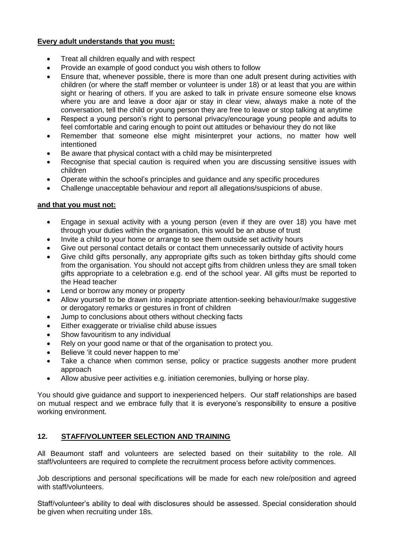#### **Every adult understands that you must:**

- Treat all children equally and with respect
- Provide an example of good conduct you wish others to follow
- Ensure that, whenever possible, there is more than one adult present during activities with children (or where the staff member or volunteer is under 18) or at least that you are within sight or hearing of others. If you are asked to talk in private ensure someone else knows where you are and leave a door ajar or stay in clear view, always make a note of the conversation, tell the child or young person they are free to leave or stop talking at anytime
- Respect a young person's right to personal privacy/encourage young people and adults to feel comfortable and caring enough to point out attitudes or behaviour they do not like
- Remember that someone else might misinterpret your actions, no matter how well intentioned
- Be aware that physical contact with a child may be misinterpreted
- Recognise that special caution is required when you are discussing sensitive issues with children
- Operate within the school's principles and guidance and any specific procedures
- Challenge unacceptable behaviour and report all allegations/suspicions of abuse.

#### **and that you must not:**

- Engage in sexual activity with a young person (even if they are over 18) you have met through your duties within the organisation, this would be an abuse of trust
- Invite a child to your home or arrange to see them outside set activity hours
- Give out personal contact details or contact them unnecessarily outside of activity hours
- Give child gifts personally, any appropriate gifts such as token birthday gifts should come from the organisation. You should not accept gifts from children unless they are small token gifts appropriate to a celebration e.g. end of the school year. All gifts must be reported to the Head teacher
- Lend or borrow any money or property
- Allow yourself to be drawn into inappropriate attention-seeking behaviour/make suggestive or derogatory remarks or gestures in front of children
- Jump to conclusions about others without checking facts
- Either exaggerate or trivialise child abuse issues
- Show favouritism to any individual
- Rely on your good name or that of the organisation to protect you.
- Believe 'it could never happen to me'
- Take a chance when common sense, policy or practice suggests another more prudent approach
- Allow abusive peer activities e.g. initiation ceremonies, bullying or horse play.

You should give guidance and support to inexperienced helpers. Our staff relationships are based on mutual respect and we embrace fully that it is everyone's responsibility to ensure a positive working environment.

# **12. STAFF/VOLUNTEER SELECTION AND TRAINING**

All Beaumont staff and volunteers are selected based on their suitability to the role. All staff/volunteers are required to complete the recruitment process before activity commences.

Job descriptions and personal specifications will be made for each new role/position and agreed with staff/volunteers.

Staff/volunteer's ability to deal with disclosures should be assessed. Special consideration should be given when recruiting under 18s.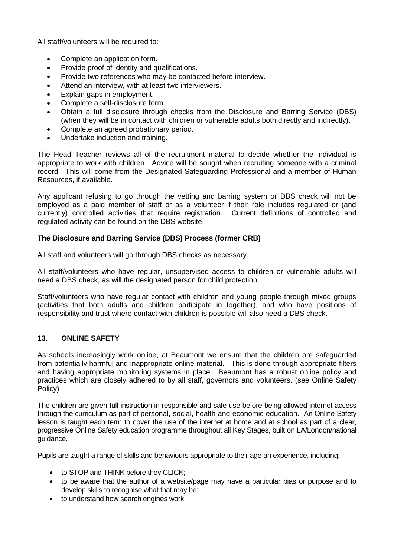All staff/volunteers will be required to:

- Complete an application form.
- Provide proof of identity and qualifications.
- Provide two references who may be contacted before interview.
- Attend an interview, with at least two interviewers.
- Explain gaps in employment.
- Complete a self-disclosure form.
- Obtain a full disclosure through checks from the Disclosure and Barring Service (DBS) (when they will be in contact with children or vulnerable adults both directly and indirectly).
- Complete an agreed probationary period.
- Undertake induction and training.

The Head Teacher reviews all of the recruitment material to decide whether the individual is appropriate to work with children. Advice will be sought when recruiting someone with a criminal record. This will come from the Designated Safeguarding Professional and a member of Human Resources, if available.

Any applicant refusing to go through the vetting and barring system or DBS check will not be employed as a paid member of staff or as a volunteer if their role includes regulated or (and currently) controlled activities that require registration. Current definitions of controlled and regulated activity can be found on the DBS website.

#### **The Disclosure and Barring Service (DBS) Process (former CRB)**

All staff and volunteers will go through DBS checks as necessary.

All staff/volunteers who have regular, unsupervised access to children or vulnerable adults will need a DBS check, as will the designated person for child protection.

Staff/volunteers who have regular contact with children and young people through mixed groups (activities that both adults and children participate in together), and who have positions of responsibility and trust where contact with children is possible will also need a DBS check.

#### **13. ONLINE SAFETY**

As schools increasingly work online, at Beaumont we ensure that the children are safeguarded from potentially harmful and inappropriate online material. This is done through appropriate filters and having appropriate monitoring systems in place. Beaumont has a robust online policy and practices which are closely adhered to by all staff, governors and volunteers. (see Online Safety Policy)

The children are given full instruction in responsible and safe use before being allowed internet access through the curriculum as part of personal, social, health and economic education. An Online Safety lesson is taught each term to cover the use of the internet at home and at school as part of a clear, progressive Online Safety education programme throughout all Key Stages, built on LA/London/national guidance.

Pupils are taught a range of skills and behaviours appropriate to their age an experience, including:-

- to STOP and THINK before they CLICK;
- to be aware that the author of a website/page may have a particular bias or purpose and to develop skills to recognise what that may be:
- to understand how search engines work: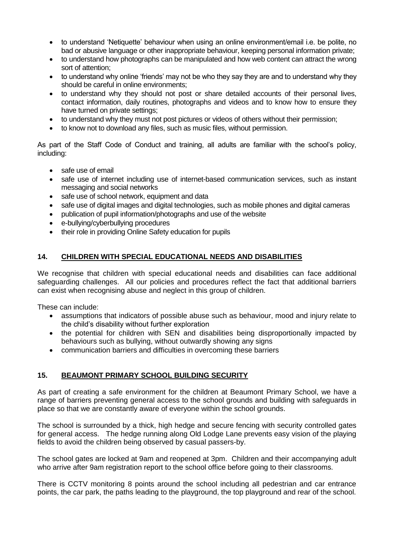- to understand 'Netiquette' behaviour when using an online environment/email i.e. be polite, no bad or abusive language or other inappropriate behaviour, keeping personal information private;
- to understand how photographs can be manipulated and how web content can attract the wrong sort of attention;
- to understand why online 'friends' may not be who they say they are and to understand why they should be careful in online environments;
- to understand why they should not post or share detailed accounts of their personal lives, contact information, daily routines, photographs and videos and to know how to ensure they have turned on private settings;
- to understand why they must not post pictures or videos of others without their permission;
- to know not to download any files, such as music files, without permission.

As part of the Staff Code of Conduct and training, all adults are familiar with the school's policy, including:

- safe use of email
- safe use of internet including use of internet-based communication services, such as instant messaging and social networks
- safe use of school network, equipment and data
- safe use of digital images and digital technologies, such as mobile phones and digital cameras
- publication of pupil information/photographs and use of the website
- e-bullying/cyberbullying procedures
- their role in providing Online Safety education for pupils

#### **14. CHILDREN WITH SPECIAL EDUCATIONAL NEEDS AND DISABILITIES**

We recognise that children with special educational needs and disabilities can face additional safeguarding challenges. All our policies and procedures reflect the fact that additional barriers can exist when recognising abuse and neglect in this group of children.

These can include:

- assumptions that indicators of possible abuse such as behaviour, mood and injury relate to the child's disability without further exploration
- the potential for children with SEN and disabilities being disproportionally impacted by behaviours such as bullying, without outwardly showing any signs
- communication barriers and difficulties in overcoming these barriers

# **15. BEAUMONT PRIMARY SCHOOL BUILDING SECURITY**

As part of creating a safe environment for the children at Beaumont Primary School, we have a range of barriers preventing general access to the school grounds and building with safeguards in place so that we are constantly aware of everyone within the school grounds.

The school is surrounded by a thick, high hedge and secure fencing with security controlled gates for general access. The hedge running along Old Lodge Lane prevents easy vision of the playing fields to avoid the children being observed by casual passers-by.

The school gates are locked at 9am and reopened at 3pm. Children and their accompanying adult who arrive after 9am registration report to the school office before going to their classrooms.

There is CCTV monitoring 8 points around the school including all pedestrian and car entrance points, the car park, the paths leading to the playground, the top playground and rear of the school.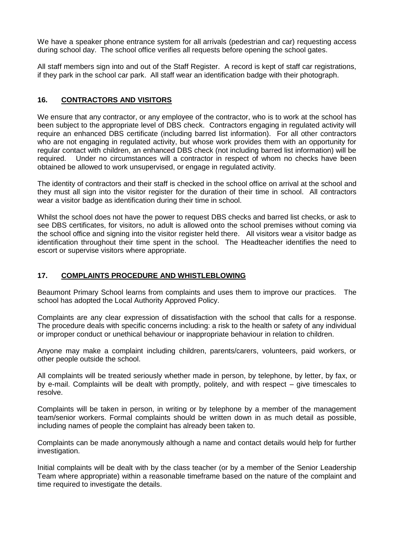We have a speaker phone entrance system for all arrivals (pedestrian and car) requesting access during school day. The school office verifies all requests before opening the school gates.

All staff members sign into and out of the Staff Register. A record is kept of staff car registrations, if they park in the school car park. All staff wear an identification badge with their photograph.

## **16. CONTRACTORS AND VISITORS**

We ensure that any contractor, or any employee of the contractor, who is to work at the school has been subject to the appropriate level of DBS check. Contractors engaging in regulated activity will require an enhanced DBS certificate (including barred list information). For all other contractors who are not engaging in regulated activity, but whose work provides them with an opportunity for regular contact with children, an enhanced DBS check (not including barred list information) will be required. Under no circumstances will a contractor in respect of whom no checks have been obtained be allowed to work unsupervised, or engage in regulated activity.

The identity of contractors and their staff is checked in the school office on arrival at the school and they must all sign into the visitor register for the duration of their time in school. All contractors wear a visitor badge as identification during their time in school.

Whilst the school does not have the power to request DBS checks and barred list checks, or ask to see DBS certificates, for visitors, no adult is allowed onto the school premises without coming via the school office and signing into the visitor register held there. All visitors wear a visitor badge as identification throughout their time spent in the school. The Headteacher identifies the need to escort or supervise visitors where appropriate.

#### **17. COMPLAINTS PROCEDURE AND WHISTLEBLOWING**

Beaumont Primary School learns from complaints and uses them to improve our practices. The school has adopted the Local Authority Approved Policy.

Complaints are any clear expression of dissatisfaction with the school that calls for a response. The procedure deals with specific concerns including: a risk to the health or safety of any individual or improper conduct or unethical behaviour or inappropriate behaviour in relation to children.

Anyone may make a complaint including children, parents/carers, volunteers, paid workers, or other people outside the school.

All complaints will be treated seriously whether made in person, by telephone, by letter, by fax, or by e-mail. Complaints will be dealt with promptly, politely, and with respect – give timescales to resolve.

Complaints will be taken in person, in writing or by telephone by a member of the management team/senior workers. Formal complaints should be written down in as much detail as possible, including names of people the complaint has already been taken to.

Complaints can be made anonymously although a name and contact details would help for further investigation.

Initial complaints will be dealt with by the class teacher (or by a member of the Senior Leadership Team where appropriate) within a reasonable timeframe based on the nature of the complaint and time required to investigate the details.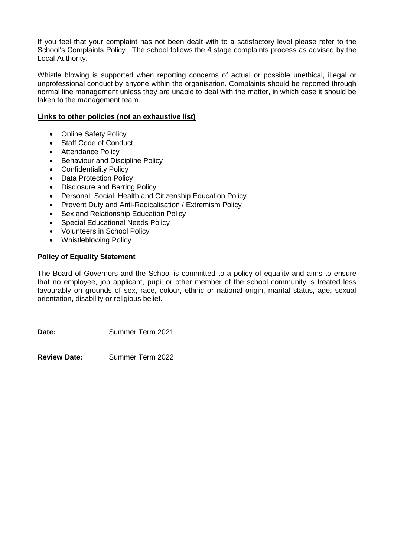If you feel that your complaint has not been dealt with to a satisfactory level please refer to the School's Complaints Policy. The school follows the 4 stage complaints process as advised by the Local Authority.

Whistle blowing is supported when reporting concerns of actual or possible unethical, illegal or unprofessional conduct by anyone within the organisation. Complaints should be reported through normal line management unless they are unable to deal with the matter, in which case it should be taken to the management team.

#### **Links to other policies (not an exhaustive list)**

- Online Safety Policy
- Staff Code of Conduct
- Attendance Policy
- Behaviour and Discipline Policy
- Confidentiality Policy
- Data Protection Policy
- Disclosure and Barring Policy
- Personal, Social, Health and Citizenship Education Policy
- Prevent Duty and Anti-Radicalisation / Extremism Policy
- Sex and Relationship Education Policy
- Special Educational Needs Policy
- Volunteers in School Policy
- Whistleblowing Policy

#### **Policy of Equality Statement**

The Board of Governors and the School is committed to a policy of equality and aims to ensure that no employee, job applicant, pupil or other member of the school community is treated less favourably on grounds of sex, race, colour, ethnic or national origin, marital status, age, sexual orientation, disability or religious belief.

Date: Summer Term 2021

**Review Date:** Summer Term 2022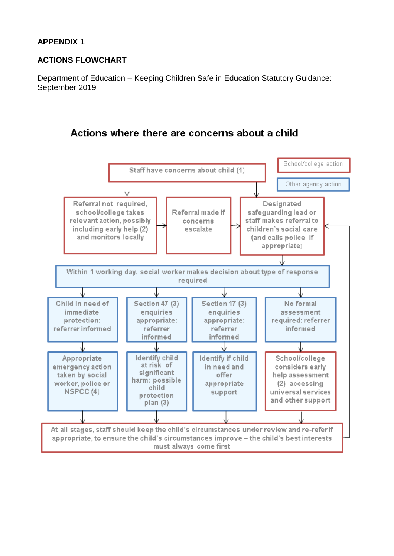# **APPENDIX 1**

# **ACTIONS FLOWCHART**

Department of Education – Keeping Children Safe in Education Statutory Guidance: September 2019

# Actions where there are concerns about a child